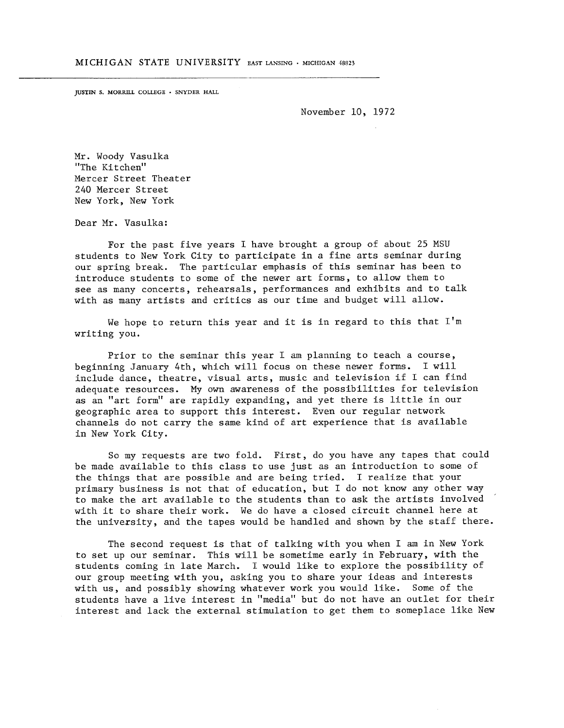JUSTIN S. MORRILL COLLEGE · SNYDER HALL

November 10, 1972

Mr. Woody Vasulka "The Kitchen" Mercer Street Theater 240 Mercer Street New York, New York

Dear Mr. Vasulka:

For the past five years I have brought a group of about 25 MSU students to New York City to participate in a fine arts seminar during our spring break. The particular emphasis of this seminar has been to introduce students to some of the newer art forms, to allow them to see as many concerts, rehearsals, performances and exhibits and to talk with as many artists and critics as our time and budget will allow .

We hope to return this year and it is in regard to this that  $I'm$ writing you .

Prior to the seminar this year <sup>I</sup> am planning to teach a course, beginning January 4th, which will focus on these newer forms. I will include dance, theatre, visual arts, music and television if I can find adequate resources. My own awareness of the possibilities for television as an "art form" are rapidly expanding, and yet there is little in our geographic area to support this interest. Even our regular network channels do not carry the same kind of art experience that is available in New York City.

So my requests are two fold. First, do you have any tapes that could be made available to this class to use just as an introduction to some of the things that are possible and are being tried. I realize that your primary business is not that of education, but <sup>I</sup> do not know any other way to make the art available to the students than to ask the artists involved with it to share their work . We do have a closed circuit channel here at the university, and the tapes would be handled and shown by the staff there.

The second request is that of talking with you when <sup>I</sup> am in New York to set up our seminar. This will be sometime early in February, with the students coming in late March. I would like to explore the possibility of our group meeting with you, asking you to share your ideas and interests with us, and possibly showing whatever work you would like. Some of the students have a live interest in "media" but do not have an outlet for their interest and lack the external stimulation to get them to someplace like New